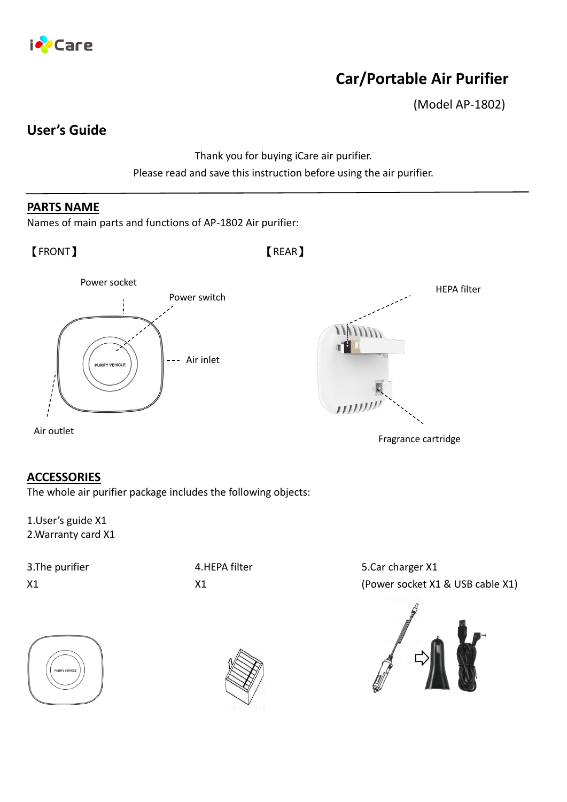

# **Car/Portable Air Purifier**

(Model AP-1802)

## **User's Guide**

Thank you for buying iCare air purifier. Please read and save this instruction before using the air purifier.

### **PARTS NAME**

Names of main parts and functions of AP-1802 Air purifier:

【FRONT】 【REAR】



## **ACCESSORIES**

The whole air purifier package includes the following objects:

1.User's guide X1 2.Warranty card X1

3.The purifier X1

4.HEPA filter X1

5.Car charger X1 (Power socket X1 & USB cable X1)